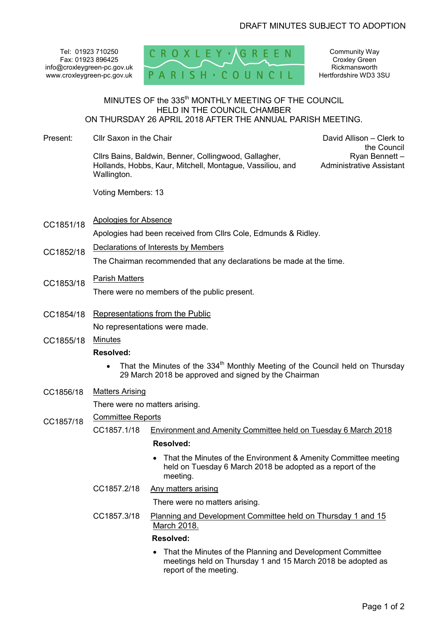Tel: 01923 710250 Fax: 01923 896425 info@croxleygreen-pc.gov.uk www.croxleygreen-pc.gov.uk



Community Way Croxley Green Rickmansworth Hertfordshire WD3 3SU

# MINUTES OF the 335<sup>th</sup> MONTHLY MEETING OF THE COUNCIL HELD IN THE COUNCIL CHAMBER ON THURSDAY 26 APRIL 2018 AFTER THE ANNUAL PARISH MEETING.

| Present:                                                                                                                                          | Cllr Saxon in the Chair                                                                                                                                                |                                                                                                                                           | David Allison - Clerk to<br>the Council |
|---------------------------------------------------------------------------------------------------------------------------------------------------|------------------------------------------------------------------------------------------------------------------------------------------------------------------------|-------------------------------------------------------------------------------------------------------------------------------------------|-----------------------------------------|
|                                                                                                                                                   | Cllrs Bains, Baldwin, Benner, Collingwood, Gallagher,<br>Ryan Bennett-<br>Hollands, Hobbs, Kaur, Mitchell, Montague, Vassiliou, and<br><b>Administrative Assistant</b> |                                                                                                                                           |                                         |
|                                                                                                                                                   | Wallington.                                                                                                                                                            |                                                                                                                                           |                                         |
|                                                                                                                                                   | Voting Members: 13                                                                                                                                                     |                                                                                                                                           |                                         |
| CC1851/18                                                                                                                                         | <b>Apologies for Absence</b>                                                                                                                                           |                                                                                                                                           |                                         |
|                                                                                                                                                   | Apologies had been received from Cllrs Cole, Edmunds & Ridley.                                                                                                         |                                                                                                                                           |                                         |
| CC1852/18                                                                                                                                         | Declarations of Interests by Members                                                                                                                                   |                                                                                                                                           |                                         |
|                                                                                                                                                   | The Chairman recommended that any declarations be made at the time.                                                                                                    |                                                                                                                                           |                                         |
| CC1853/18                                                                                                                                         | <b>Parish Matters</b>                                                                                                                                                  |                                                                                                                                           |                                         |
|                                                                                                                                                   | There were no members of the public present.                                                                                                                           |                                                                                                                                           |                                         |
| CC1854/18                                                                                                                                         | Representations from the Public                                                                                                                                        |                                                                                                                                           |                                         |
|                                                                                                                                                   | No representations were made.                                                                                                                                          |                                                                                                                                           |                                         |
| CC1855/18                                                                                                                                         | Minutes                                                                                                                                                                |                                                                                                                                           |                                         |
|                                                                                                                                                   | <b>Resolved:</b>                                                                                                                                                       |                                                                                                                                           |                                         |
| That the Minutes of the 334 <sup>th</sup> Monthly Meeting of the Council held on Thursday<br>29 March 2018 be approved and signed by the Chairman |                                                                                                                                                                        |                                                                                                                                           |                                         |
| CC1856/18                                                                                                                                         | <b>Matters Arising</b>                                                                                                                                                 |                                                                                                                                           |                                         |
|                                                                                                                                                   | There were no matters arising.                                                                                                                                         |                                                                                                                                           |                                         |
| CC1857/18                                                                                                                                         | <b>Committee Reports</b>                                                                                                                                               |                                                                                                                                           |                                         |
|                                                                                                                                                   | CC1857.1/18                                                                                                                                                            | Environment and Amenity Committee held on Tuesday 6 March 2018                                                                            |                                         |
|                                                                                                                                                   |                                                                                                                                                                        | <b>Resolved:</b>                                                                                                                          |                                         |
|                                                                                                                                                   |                                                                                                                                                                        | That the Minutes of the Environment & Amenity Committee meeting<br>held on Tuesday 6 March 2018 be adopted as a report of the<br>meeting. |                                         |
|                                                                                                                                                   | CC1857.2/18                                                                                                                                                            | Any matters arising                                                                                                                       |                                         |
|                                                                                                                                                   |                                                                                                                                                                        | There were no matters arising.                                                                                                            |                                         |
|                                                                                                                                                   | CC1857.3/18                                                                                                                                                            | Planning and Development Committee held on Thursday 1 and 15<br><b>March 2018.</b>                                                        |                                         |
|                                                                                                                                                   |                                                                                                                                                                        | Doeolyod:                                                                                                                                 |                                         |

## **Resolved:**

 That the Minutes of the Planning and Development Committee meetings held on Thursday 1 and 15 March 2018 be adopted as report of the meeting.